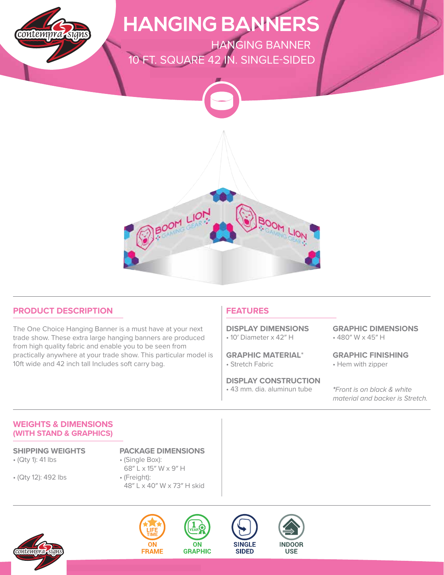

### **PRODUCT DESCRIPTION**

The One Choice Hanging Banner is a must have at your next trade show. These extra large hanging banners are produced from high quality fabric and enable you to be seen from practically anywhere at your trade show. This particular model is 10ft wide and 42 inch tall Includes soft carry bag.

### **FEATURES**

• 10′ Diameter x 42″ H **DISPLAY DIMENSIONS**

• Stretch Fabric **GRAPHIC MATERIAL**\*

**DISPLAY CONSTRUCTION**

• 43 mm. dia. aluminun tube

• 480″ W x 45″ H **GRAPHIC DIMENSIONS**

• Hem with zipper **GRAPHIC FINISHING**

**\***Front is on black & white material and backer is Stretch.

### **WEIGHTS & DIMENSIONS (WITH STAND & GRAPHICS)**

• (Qty 1): 41 lbs

• (Qty 12): 492 lbs

**SHIPPING WEIGHTS PACKAGE DIMENSIONS**

- (Single Box): 68″ L x 15″ W x 9″ H • (Freight):
- 48″ L x 40″ W x 73″ H skid







**ON** 

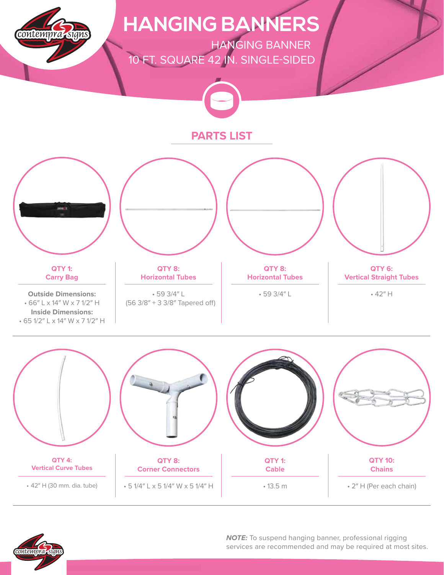



**NOTE:** To suspend hanging banner, professional rigging services are recommended and may be required at most sites.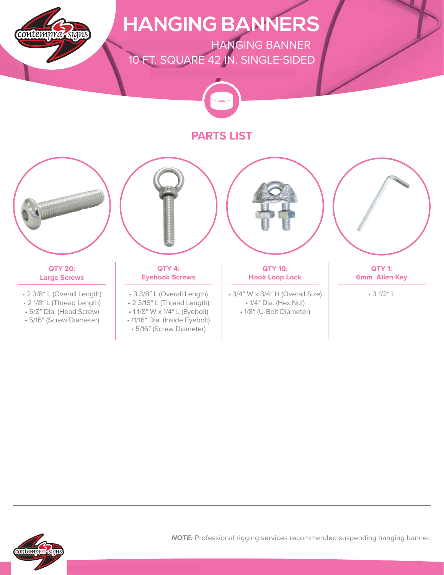

## **HANGING BANNERS**

**ONE CHOICE - HANGING BANNER** 10 FT. SQUARE 42 IN. SINGLE-SIDED



### **PARTS LIST**